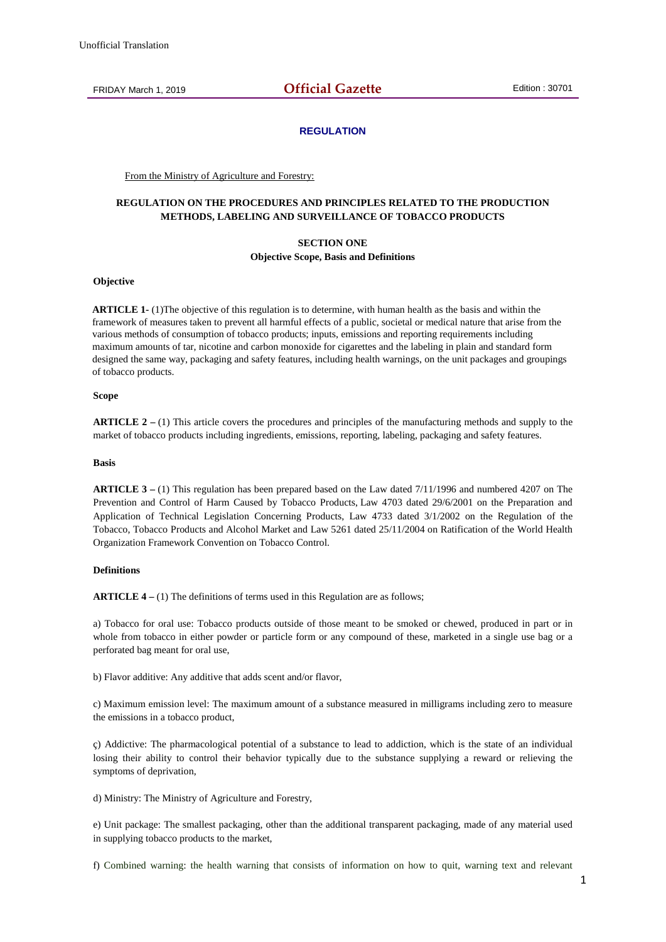FRIDAY March 1, 2019 **Official Gazette** Edition : 30701

## **REGULATION**

From the Ministry of Agriculture and Forestry:

## **REGULATION ON THE PROCEDURES AND PRINCIPLES RELATED TO THE PRODUCTION METHODS, LABELING AND SURVEILLANCE OF TOBACCO PRODUCTS**

## **SECTION ONE Objective Scope, Basis and Definitions**

## **Objective**

**ARTICLE 1-** (1)The objective of this regulation is to determine, with human health as the basis and within the framework of measures taken to prevent all harmful effects of a public, societal or medical nature that arise from the various methods of consumption of tobacco products; inputs, emissions and reporting requirements including maximum amounts of tar, nicotine and carbon monoxide for cigarettes and the labeling in plain and standard form designed the same way, packaging and safety features, including health warnings, on the unit packages and groupings of tobacco products.

## **Scope**

**ARTICLE 2 –** (1) This article covers the procedures and principles of the manufacturing methods and supply to the market of tobacco products including ingredients, emissions, reporting, labeling, packaging and safety features.

## **Basis**

**ARTICLE 3 –** (1) This regulation has been prepared based on the Law dated 7/11/1996 and numbered 4207 on The Prevention and Control of Harm Caused by Tobacco Products, Law 4703 dated 29/6/2001 on the Preparation and Application of Technical Legislation Concerning Products, Law 4733 dated 3/1/2002 on the Regulation of the Tobacco, Tobacco Products and Alcohol Market and Law 5261 dated 25/11/2004 on Ratification of the World Health Organization Framework Convention on Tobacco Control.

#### **Definitions**

**ARTICLE 4** – (1) The definitions of terms used in this Regulation are as follows:

a) Tobacco for oral use: Tobacco products outside of those meant to be smoked or chewed, produced in part or in whole from tobacco in either powder or particle form or any compound of these, marketed in a single use bag or a perforated bag meant for oral use,

b) Flavor additive: Any additive that adds scent and/or flavor,

c) Maximum emission level: The maximum amount of a substance measured in milligrams including zero to measure the emissions in a tobacco product,

ç) Addictive: The pharmacological potential of a substance to lead to addiction, which is the state of an individual losing their ability to control their behavior typically due to the substance supplying a reward or relieving the symptoms of deprivation,

d) Ministry: The Ministry of Agriculture and Forestry,

e) Unit package: The smallest packaging, other than the additional transparent packaging, made of any material used in supplying tobacco products to the market,

f) Combined warning: the health warning that consists of information on how to quit, warning text and relevant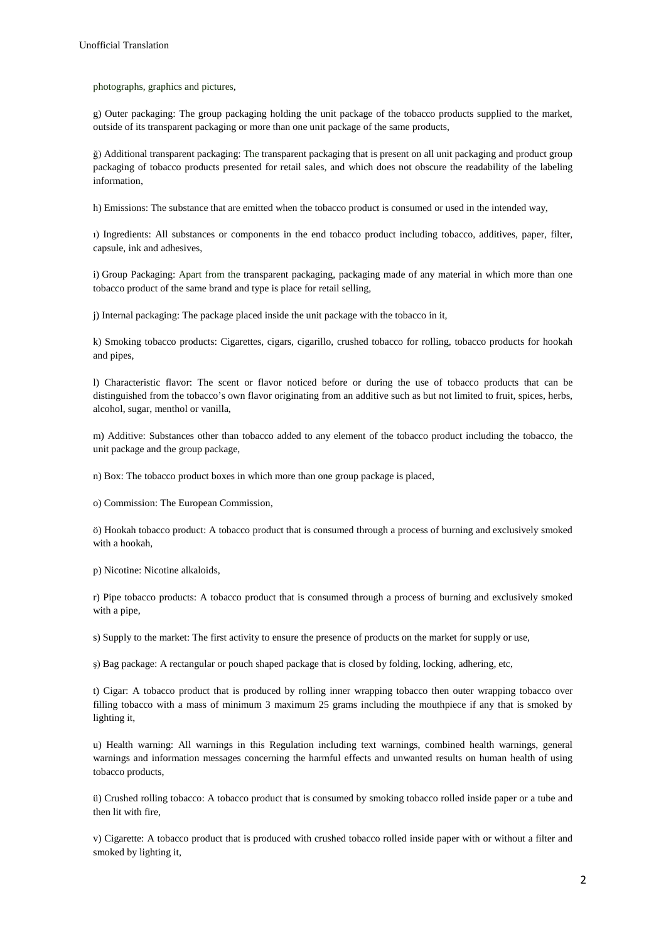photographs, graphics and pictures,

g) Outer packaging: The group packaging holding the unit package of the tobacco products supplied to the market, outside of its transparent packaging or more than one unit package of the same products,

ğ) Additional transparent packaging: The transparent packaging that is present on all unit packaging and product group packaging of tobacco products presented for retail sales, and which does not obscure the readability of the labeling information,

h) Emissions: The substance that are emitted when the tobacco product is consumed or used in the intended way,

ı) Ingredients: All substances or components in the end tobacco product including tobacco, additives, paper, filter, capsule, ink and adhesives,

i) Group Packaging: Apart from the transparent packaging, packaging made of any material in which more than one tobacco product of the same brand and type is place for retail selling,

j) Internal packaging: The package placed inside the unit package with the tobacco in it,

k) Smoking tobacco products: Cigarettes, cigars, cigarillo, crushed tobacco for rolling, tobacco products for hookah and pipes,

l) Characteristic flavor: The scent or flavor noticed before or during the use of tobacco products that can be distinguished from the tobacco's own flavor originating from an additive such as but not limited to fruit, spices, herbs, alcohol, sugar, menthol or vanilla,

m) Additive: Substances other than tobacco added to any element of the tobacco product including the tobacco, the unit package and the group package,

n) Box: The tobacco product boxes in which more than one group package is placed,

o) Commission: The European Commission,

ö) Hookah tobacco product: A tobacco product that is consumed through a process of burning and exclusively smoked with a hookah,

p) Nicotine: Nicotine alkaloids,

r) Pipe tobacco products: A tobacco product that is consumed through a process of burning and exclusively smoked with a pipe,

s) Supply to the market: The first activity to ensure the presence of products on the market for supply or use,

ş) Bag package: A rectangular or pouch shaped package that is closed by folding, locking, adhering, etc,

t) Cigar: A tobacco product that is produced by rolling inner wrapping tobacco then outer wrapping tobacco over filling tobacco with a mass of minimum 3 maximum 25 grams including the mouthpiece if any that is smoked by lighting it,

u) Health warning: All warnings in this Regulation including text warnings, combined health warnings, general warnings and information messages concerning the harmful effects and unwanted results on human health of using tobacco products,

ü) Crushed rolling tobacco: A tobacco product that is consumed by smoking tobacco rolled inside paper or a tube and then lit with fire,

v) Cigarette: A tobacco product that is produced with crushed tobacco rolled inside paper with or without a filter and smoked by lighting it,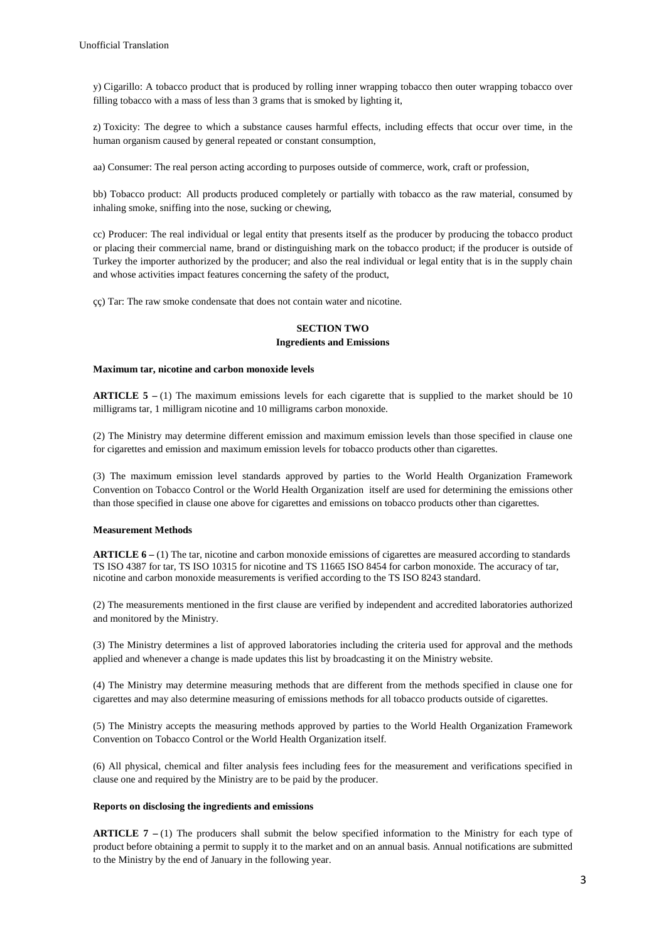y) Cigarillo: A tobacco product that is produced by rolling inner wrapping tobacco then outer wrapping tobacco over filling tobacco with a mass of less than 3 grams that is smoked by lighting it,

z) Toxicity: The degree to which a substance causes harmful effects, including effects that occur over time, in the human organism caused by general repeated or constant consumption,

aa) Consumer: The real person acting according to purposes outside of commerce, work, craft or profession,

bb) Tobacco product: All products produced completely or partially with tobacco as the raw material, consumed by inhaling smoke, sniffing into the nose, sucking or chewing,

cc) Producer: The real individual or legal entity that presents itself as the producer by producing the tobacco product or placing their commercial name, brand or distinguishing mark on the tobacco product; if the producer is outside of Turkey the importer authorized by the producer; and also the real individual or legal entity that is in the supply chain and whose activities impact features concerning the safety of the product,

çç) Tar: The raw smoke condensate that does not contain water and nicotine.

# **SECTION TWO**

## **Ingredients and Emissions**

## **Maximum tar, nicotine and carbon monoxide levels**

**ARTICLE 5 –** (1) The maximum emissions levels for each cigarette that is supplied to the market should be 10 milligrams tar, 1 milligram nicotine and 10 milligrams carbon monoxide.

(2) The Ministry may determine different emission and maximum emission levels than those specified in clause one for cigarettes and emission and maximum emission levels for tobacco products other than cigarettes.

(3) The maximum emission level standards approved by parties to the World Health Organization Framework Convention on Tobacco Control or the World Health Organization itself are used for determining the emissions other than those specified in clause one above for cigarettes and emissions on tobacco products other than cigarettes.

## **Measurement Methods**

**ARTICLE 6 –** (1) The tar, nicotine and carbon monoxide emissions of cigarettes are measured according to standards TS ISO 4387 for tar, TS ISO 10315 for nicotine and TS 11665 ISO 8454 for carbon monoxide. The accuracy of tar, nicotine and carbon monoxide measurements is verified according to the TS ISO 8243 standard.

(2) The measurements mentioned in the first clause are verified by independent and accredited laboratories authorized and monitored by the Ministry.

(3) The Ministry determines a list of approved laboratories including the criteria used for approval and the methods applied and whenever a change is made updates this list by broadcasting it on the Ministry website.

(4) The Ministry may determine measuring methods that are different from the methods specified in clause one for cigarettes and may also determine measuring of emissions methods for all tobacco products outside of cigarettes.

(5) The Ministry accepts the measuring methods approved by parties to the World Health Organization Framework Convention on Tobacco Control or the World Health Organization itself.

(6) All physical, chemical and filter analysis fees including fees for the measurement and verifications specified in clause one and required by the Ministry are to be paid by the producer.

## **Reports on disclosing the ingredients and emissions**

**ARTICLE 7 –** (1) The producers shall submit the below specified information to the Ministry for each type of product before obtaining a permit to supply it to the market and on an annual basis. Annual notifications are submitted to the Ministry by the end of January in the following year.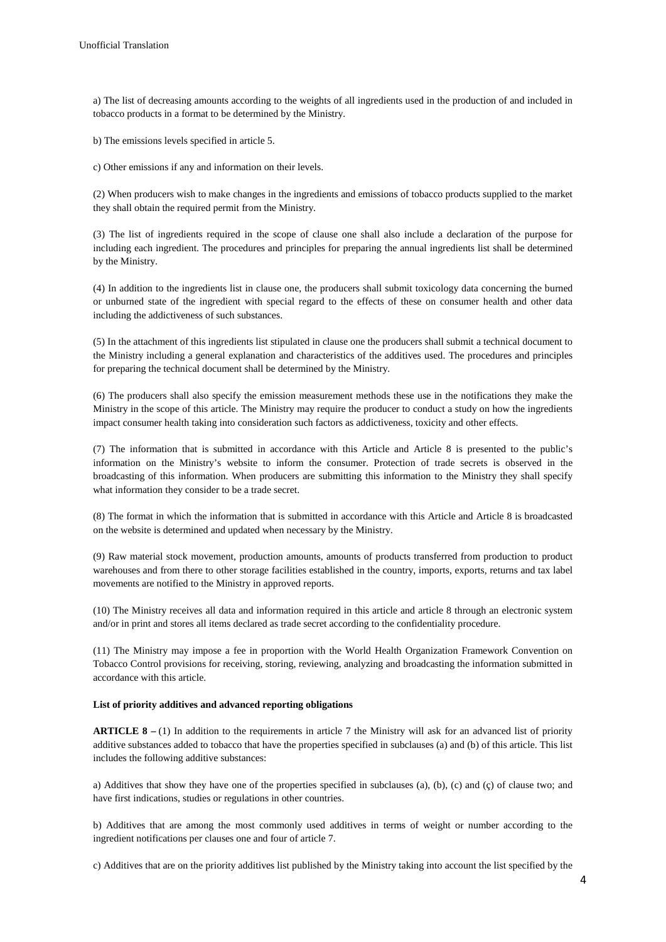a) The list of decreasing amounts according to the weights of all ingredients used in the production of and included in tobacco products in a format to be determined by the Ministry.

b) The emissions levels specified in article 5.

c) Other emissions if any and information on their levels.

(2) When producers wish to make changes in the ingredients and emissions of tobacco products supplied to the market they shall obtain the required permit from the Ministry.

(3) The list of ingredients required in the scope of clause one shall also include a declaration of the purpose for including each ingredient. The procedures and principles for preparing the annual ingredients list shall be determined by the Ministry.

(4) In addition to the ingredients list in clause one, the producers shall submit toxicology data concerning the burned or unburned state of the ingredient with special regard to the effects of these on consumer health and other data including the addictiveness of such substances.

(5) In the attachment of this ingredients list stipulated in clause one the producers shall submit a technical document to the Ministry including a general explanation and characteristics of the additives used. The procedures and principles for preparing the technical document shall be determined by the Ministry.

(6) The producers shall also specify the emission measurement methods these use in the notifications they make the Ministry in the scope of this article. The Ministry may require the producer to conduct a study on how the ingredients impact consumer health taking into consideration such factors as addictiveness, toxicity and other effects.

(7) The information that is submitted in accordance with this Article and Article 8 is presented to the public's information on the Ministry's website to inform the consumer. Protection of trade secrets is observed in the broadcasting of this information. When producers are submitting this information to the Ministry they shall specify what information they consider to be a trade secret.

(8) The format in which the information that is submitted in accordance with this Article and Article 8 is broadcasted on the website is determined and updated when necessary by the Ministry.

(9) Raw material stock movement, production amounts, amounts of products transferred from production to product warehouses and from there to other storage facilities established in the country, imports, exports, returns and tax label movements are notified to the Ministry in approved reports.

(10) The Ministry receives all data and information required in this article and article 8 through an electronic system and/or in print and stores all items declared as trade secret according to the confidentiality procedure.

(11) The Ministry may impose a fee in proportion with the World Health Organization Framework Convention on Tobacco Control provisions for receiving, storing, reviewing, analyzing and broadcasting the information submitted in accordance with this article.

## **List of priority additives and advanced reporting obligations**

**ARTICLE 8 –** (1) In addition to the requirements in article 7 the Ministry will ask for an advanced list of priority additive substances added to tobacco that have the properties specified in subclauses (a) and (b) of this article. This list includes the following additive substances:

a) Additives that show they have one of the properties specified in subclauses (a), (b), (c) and (ç) of clause two; and have first indications, studies or regulations in other countries.

b) Additives that are among the most commonly used additives in terms of weight or number according to the ingredient notifications per clauses one and four of article 7.

c) Additives that are on the priority additives list published by the Ministry taking into account the list specified by the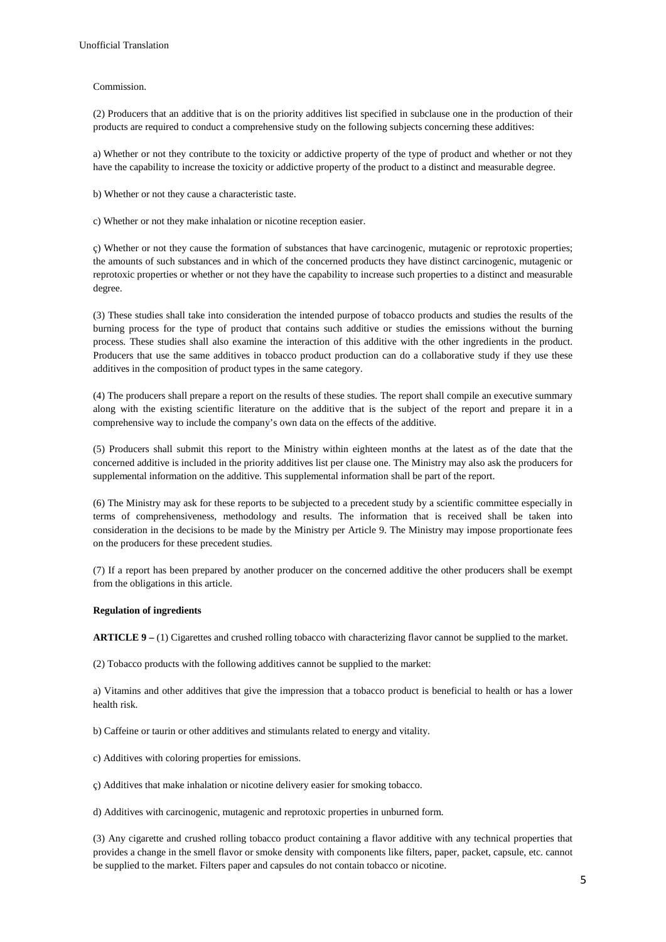## Commission.

(2) Producers that an additive that is on the priority additives list specified in subclause one in the production of their products are required to conduct a comprehensive study on the following subjects concerning these additives:

a) Whether or not they contribute to the toxicity or addictive property of the type of product and whether or not they have the capability to increase the toxicity or addictive property of the product to a distinct and measurable degree.

b) Whether or not they cause a characteristic taste.

c) Whether or not they make inhalation or nicotine reception easier.

ç) Whether or not they cause the formation of substances that have carcinogenic, mutagenic or reprotoxic properties; the amounts of such substances and in which of the concerned products they have distinct carcinogenic, mutagenic or reprotoxic properties or whether or not they have the capability to increase such properties to a distinct and measurable degree.

(3) These studies shall take into consideration the intended purpose of tobacco products and studies the results of the burning process for the type of product that contains such additive or studies the emissions without the burning process. These studies shall also examine the interaction of this additive with the other ingredients in the product. Producers that use the same additives in tobacco product production can do a collaborative study if they use these additives in the composition of product types in the same category.

(4) The producers shall prepare a report on the results of these studies. The report shall compile an executive summary along with the existing scientific literature on the additive that is the subject of the report and prepare it in a comprehensive way to include the company's own data on the effects of the additive.

(5) Producers shall submit this report to the Ministry within eighteen months at the latest as of the date that the concerned additive is included in the priority additives list per clause one. The Ministry may also ask the producers for supplemental information on the additive. This supplemental information shall be part of the report.

(6) The Ministry may ask for these reports to be subjected to a precedent study by a scientific committee especially in terms of comprehensiveness, methodology and results. The information that is received shall be taken into consideration in the decisions to be made by the Ministry per Article 9. The Ministry may impose proportionate fees on the producers for these precedent studies.

(7) If a report has been prepared by another producer on the concerned additive the other producers shall be exempt from the obligations in this article.

## **Regulation of ingredients**

**ARTICLE 9 –** (1) Cigarettes and crushed rolling tobacco with characterizing flavor cannot be supplied to the market.

(2) Tobacco products with the following additives cannot be supplied to the market:

a) Vitamins and other additives that give the impression that a tobacco product is beneficial to health or has a lower health risk.

b) Caffeine or taurin or other additives and stimulants related to energy and vitality.

c) Additives with coloring properties for emissions.

ç) Additives that make inhalation or nicotine delivery easier for smoking tobacco.

d) Additives with carcinogenic, mutagenic and reprotoxic properties in unburned form.

(3) Any cigarette and crushed rolling tobacco product containing a flavor additive with any technical properties that provides a change in the smell flavor or smoke density with components like filters, paper, packet, capsule, etc. cannot be supplied to the market. Filters paper and capsules do not contain tobacco or nicotine.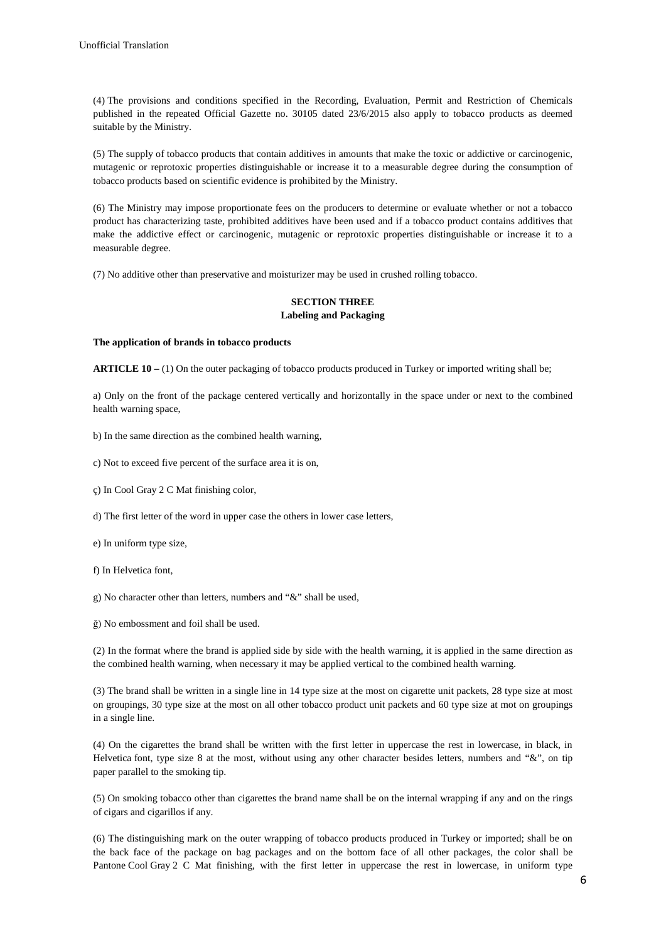(4) The provisions and conditions specified in the Recording, Evaluation, Permit and Restriction of Chemicals published in the repeated Official Gazette no. 30105 dated 23/6/2015 also apply to tobacco products as deemed suitable by the Ministry.

(5) The supply of tobacco products that contain additives in amounts that make the toxic or addictive or carcinogenic, mutagenic or reprotoxic properties distinguishable or increase it to a measurable degree during the consumption of tobacco products based on scientific evidence is prohibited by the Ministry.

(6) The Ministry may impose proportionate fees on the producers to determine or evaluate whether or not a tobacco product has characterizing taste, prohibited additives have been used and if a tobacco product contains additives that make the addictive effect or carcinogenic, mutagenic or reprotoxic properties distinguishable or increase it to a measurable degree.

(7) No additive other than preservative and moisturizer may be used in crushed rolling tobacco.

## **SECTION THREE Labeling and Packaging**

## **The application of brands in tobacco products**

**ARTICLE 10 –** (1) On the outer packaging of tobacco products produced in Turkey or imported writing shall be;

a) Only on the front of the package centered vertically and horizontally in the space under or next to the combined health warning space,

- b) In the same direction as the combined health warning,
- c) Not to exceed five percent of the surface area it is on,
- ç) In Cool Gray 2 C Mat finishing color,
- d) The first letter of the word in upper case the others in lower case letters,
- e) In uniform type size,
- f) In Helvetica font,
- g) No character other than letters, numbers and "&" shall be used,
- ğ) No embossment and foil shall be used.

(2) In the format where the brand is applied side by side with the health warning, it is applied in the same direction as the combined health warning, when necessary it may be applied vertical to the combined health warning.

(3) The brand shall be written in a single line in 14 type size at the most on cigarette unit packets, 28 type size at most on groupings, 30 type size at the most on all other tobacco product unit packets and 60 type size at mot on groupings in a single line.

(4) On the cigarettes the brand shall be written with the first letter in uppercase the rest in lowercase, in black, in Helvetica font, type size 8 at the most, without using any other character besides letters, numbers and "&", on tip paper parallel to the smoking tip.

(5) On smoking tobacco other than cigarettes the brand name shall be on the internal wrapping if any and on the rings of cigars and cigarillos if any.

(6) The distinguishing mark on the outer wrapping of tobacco products produced in Turkey or imported; shall be on the back face of the package on bag packages and on the bottom face of all other packages, the color shall be Pantone Cool Gray 2 C Mat finishing, with the first letter in uppercase the rest in lowercase, in uniform type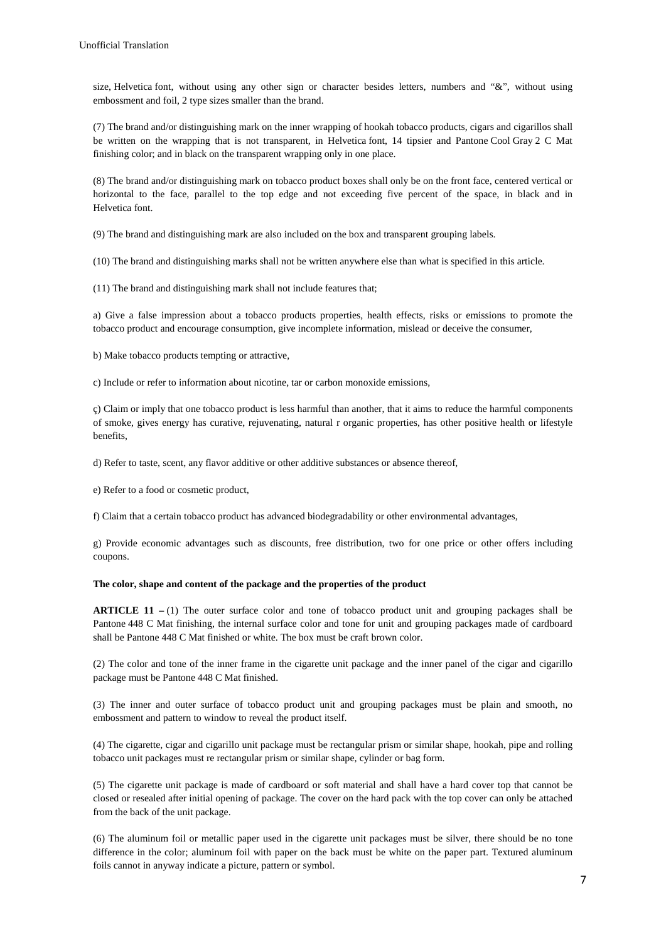size, Helvetica font, without using any other sign or character besides letters, numbers and "&", without using embossment and foil, 2 type sizes smaller than the brand.

(7) The brand and/or distinguishing mark on the inner wrapping of hookah tobacco products, cigars and cigarillos shall be written on the wrapping that is not transparent, in Helvetica font, 14 tipsier and Pantone Cool Gray 2 C Mat finishing color; and in black on the transparent wrapping only in one place.

(8) The brand and/or distinguishing mark on tobacco product boxes shall only be on the front face, centered vertical or horizontal to the face, parallel to the top edge and not exceeding five percent of the space, in black and in Helvetica font.

(9) The brand and distinguishing mark are also included on the box and transparent grouping labels.

(10) The brand and distinguishing marks shall not be written anywhere else than what is specified in this article.

(11) The brand and distinguishing mark shall not include features that;

a) Give a false impression about a tobacco products properties, health effects, risks or emissions to promote the tobacco product and encourage consumption, give incomplete information, mislead or deceive the consumer,

b) Make tobacco products tempting or attractive,

c) Include or refer to information about nicotine, tar or carbon monoxide emissions,

ç) Claim or imply that one tobacco product is less harmful than another, that it aims to reduce the harmful components of smoke, gives energy has curative, rejuvenating, natural r organic properties, has other positive health or lifestyle benefits,

d) Refer to taste, scent, any flavor additive or other additive substances or absence thereof,

e) Refer to a food or cosmetic product,

f) Claim that a certain tobacco product has advanced biodegradability or other environmental advantages,

g) Provide economic advantages such as discounts, free distribution, two for one price or other offers including coupons.

## **The color, shape and content of the package and the properties of the product**

**ARTICLE 11** – (1) The outer surface color and tone of tobacco product unit and grouping packages shall be Pantone 448 C Mat finishing, the internal surface color and tone for unit and grouping packages made of cardboard shall be Pantone 448 C Mat finished or white. The box must be craft brown color.

(2) The color and tone of the inner frame in the cigarette unit package and the inner panel of the cigar and cigarillo package must be Pantone 448 C Mat finished.

(3) The inner and outer surface of tobacco product unit and grouping packages must be plain and smooth, no embossment and pattern to window to reveal the product itself.

(4) The cigarette, cigar and cigarillo unit package must be rectangular prism or similar shape, hookah, pipe and rolling tobacco unit packages must re rectangular prism or similar shape, cylinder or bag form.

(5) The cigarette unit package is made of cardboard or soft material and shall have a hard cover top that cannot be closed or resealed after initial opening of package. The cover on the hard pack with the top cover can only be attached from the back of the unit package.

(6) The aluminum foil or metallic paper used in the cigarette unit packages must be silver, there should be no tone difference in the color; aluminum foil with paper on the back must be white on the paper part. Textured aluminum foils cannot in anyway indicate a picture, pattern or symbol.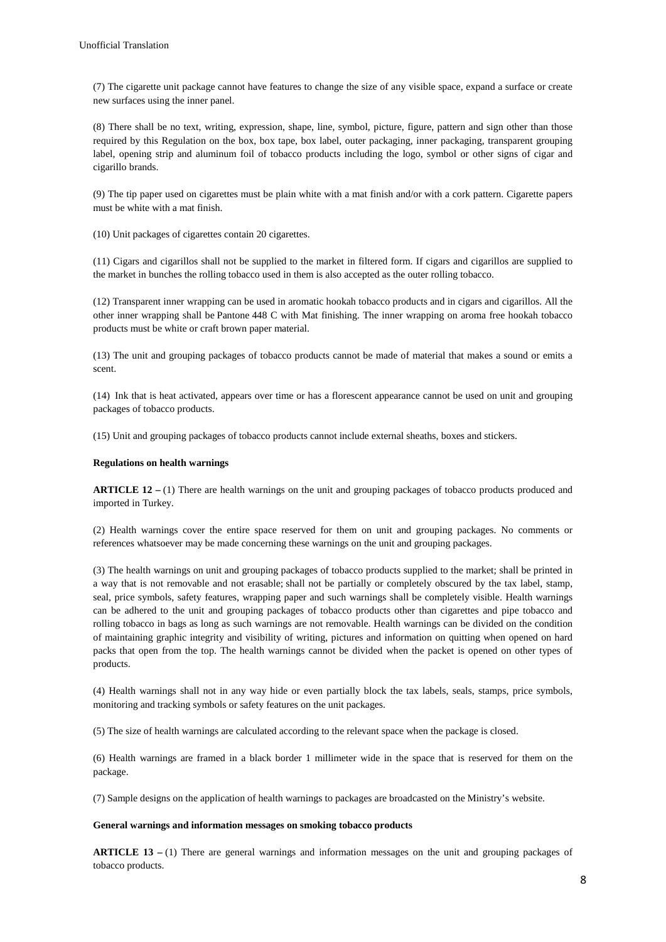(7) The cigarette unit package cannot have features to change the size of any visible space, expand a surface or create new surfaces using the inner panel.

(8) There shall be no text, writing, expression, shape, line, symbol, picture, figure, pattern and sign other than those required by this Regulation on the box, box tape, box label, outer packaging, inner packaging, transparent grouping label, opening strip and aluminum foil of tobacco products including the logo, symbol or other signs of cigar and cigarillo brands.

(9) The tip paper used on cigarettes must be plain white with a mat finish and/or with a cork pattern. Cigarette papers must be white with a mat finish.

(10) Unit packages of cigarettes contain 20 cigarettes.

(11) Cigars and cigarillos shall not be supplied to the market in filtered form. If cigars and cigarillos are supplied to the market in bunches the rolling tobacco used in them is also accepted as the outer rolling tobacco.

(12) Transparent inner wrapping can be used in aromatic hookah tobacco products and in cigars and cigarillos. All the other inner wrapping shall be Pantone 448 C with Mat finishing. The inner wrapping on aroma free hookah tobacco products must be white or craft brown paper material.

(13) The unit and grouping packages of tobacco products cannot be made of material that makes a sound or emits a scent.

(14) Ink that is heat activated, appears over time or has a florescent appearance cannot be used on unit and grouping packages of tobacco products.

(15) Unit and grouping packages of tobacco products cannot include external sheaths, boxes and stickers.

## **Regulations on health warnings**

**ARTICLE 12** – (1) There are health warnings on the unit and grouping packages of tobacco products produced and imported in Turkey.

(2) Health warnings cover the entire space reserved for them on unit and grouping packages. No comments or references whatsoever may be made concerning these warnings on the unit and grouping packages.

(3) The health warnings on unit and grouping packages of tobacco products supplied to the market; shall be printed in a way that is not removable and not erasable; shall not be partially or completely obscured by the tax label, stamp, seal, price symbols, safety features, wrapping paper and such warnings shall be completely visible. Health warnings can be adhered to the unit and grouping packages of tobacco products other than cigarettes and pipe tobacco and rolling tobacco in bags as long as such warnings are not removable. Health warnings can be divided on the condition of maintaining graphic integrity and visibility of writing, pictures and information on quitting when opened on hard packs that open from the top. The health warnings cannot be divided when the packet is opened on other types of products.

(4) Health warnings shall not in any way hide or even partially block the tax labels, seals, stamps, price symbols, monitoring and tracking symbols or safety features on the unit packages.

(5) The size of health warnings are calculated according to the relevant space when the package is closed.

(6) Health warnings are framed in a black border 1 millimeter wide in the space that is reserved for them on the package.

(7) Sample designs on the application of health warnings to packages are broadcasted on the Ministry's website.

#### **General warnings and information messages on smoking tobacco products**

**ARTICLE 13 –** (1) There are general warnings and information messages on the unit and grouping packages of tobacco products.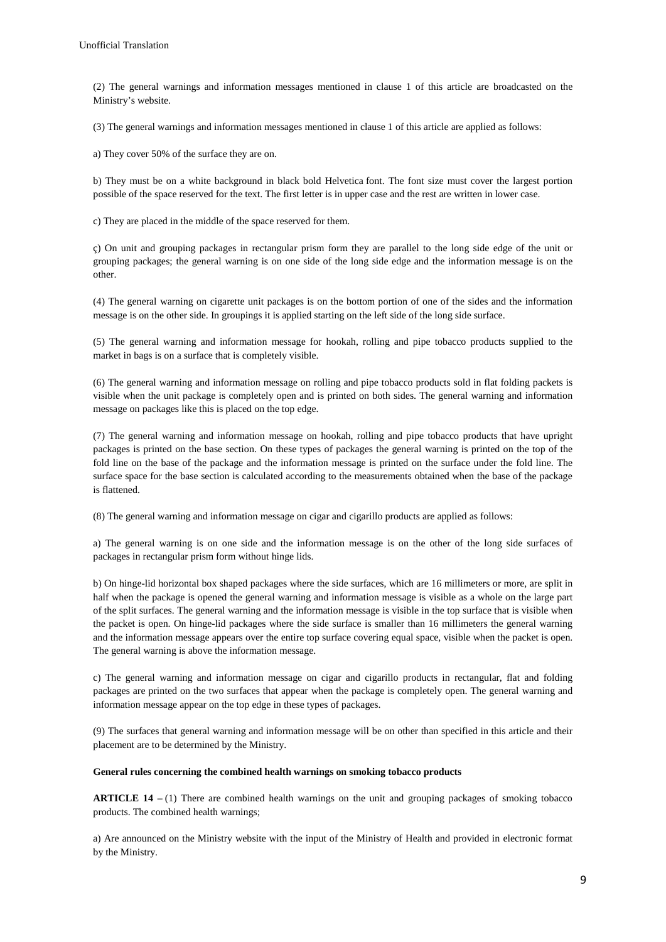(2) The general warnings and information messages mentioned in clause 1 of this article are broadcasted on the Ministry's website.

(3) The general warnings and information messages mentioned in clause 1 of this article are applied as follows:

a) They cover 50% of the surface they are on.

b) They must be on a white background in black bold Helvetica font. The font size must cover the largest portion possible of the space reserved for the text. The first letter is in upper case and the rest are written in lower case.

c) They are placed in the middle of the space reserved for them.

ç) On unit and grouping packages in rectangular prism form they are parallel to the long side edge of the unit or grouping packages; the general warning is on one side of the long side edge and the information message is on the other.

(4) The general warning on cigarette unit packages is on the bottom portion of one of the sides and the information message is on the other side. In groupings it is applied starting on the left side of the long side surface.

(5) The general warning and information message for hookah, rolling and pipe tobacco products supplied to the market in bags is on a surface that is completely visible.

(6) The general warning and information message on rolling and pipe tobacco products sold in flat folding packets is visible when the unit package is completely open and is printed on both sides. The general warning and information message on packages like this is placed on the top edge.

(7) The general warning and information message on hookah, rolling and pipe tobacco products that have upright packages is printed on the base section. On these types of packages the general warning is printed on the top of the fold line on the base of the package and the information message is printed on the surface under the fold line. The surface space for the base section is calculated according to the measurements obtained when the base of the package is flattened.

(8) The general warning and information message on cigar and cigarillo products are applied as follows:

a) The general warning is on one side and the information message is on the other of the long side surfaces of packages in rectangular prism form without hinge lids.

b) On hinge-lid horizontal box shaped packages where the side surfaces, which are 16 millimeters or more, are split in half when the package is opened the general warning and information message is visible as a whole on the large part of the split surfaces. The general warning and the information message is visible in the top surface that is visible when the packet is open. On hinge-lid packages where the side surface is smaller than 16 millimeters the general warning and the information message appears over the entire top surface covering equal space, visible when the packet is open. The general warning is above the information message.

c) The general warning and information message on cigar and cigarillo products in rectangular, flat and folding packages are printed on the two surfaces that appear when the package is completely open. The general warning and information message appear on the top edge in these types of packages.

(9) The surfaces that general warning and information message will be on other than specified in this article and their placement are to be determined by the Ministry.

#### **General rules concerning the combined health warnings on smoking tobacco products**

**ARTICLE 14 –** (1) There are combined health warnings on the unit and grouping packages of smoking tobacco products. The combined health warnings;

a) Are announced on the Ministry website with the input of the Ministry of Health and provided in electronic format by the Ministry.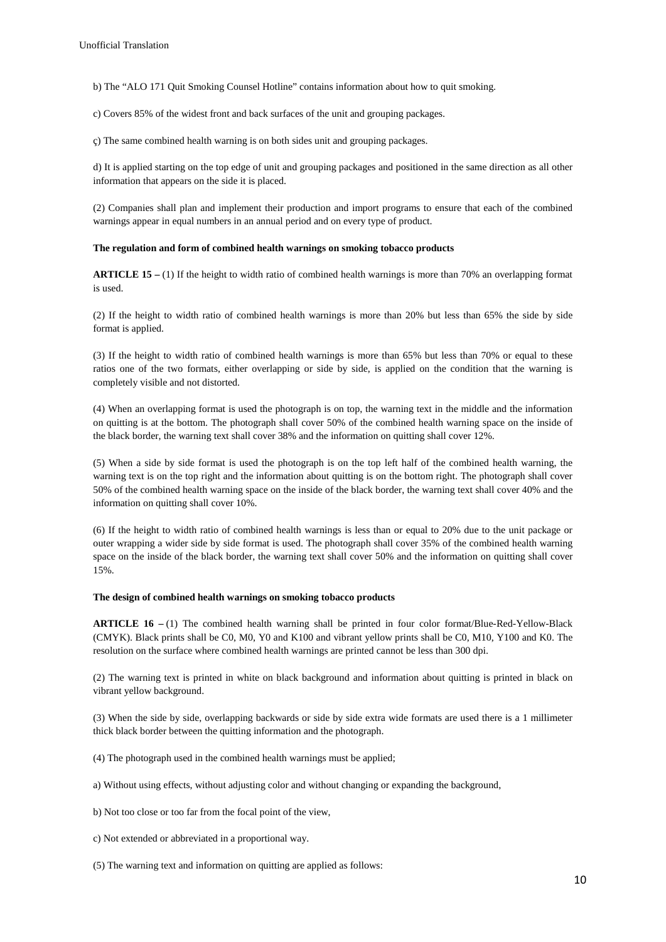b) The "ALO 171 Quit Smoking Counsel Hotline" contains information about how to quit smoking.

c) Covers 85% of the widest front and back surfaces of the unit and grouping packages.

ç) The same combined health warning is on both sides unit and grouping packages.

d) It is applied starting on the top edge of unit and grouping packages and positioned in the same direction as all other information that appears on the side it is placed.

(2) Companies shall plan and implement their production and import programs to ensure that each of the combined warnings appear in equal numbers in an annual period and on every type of product.

#### **The regulation and form of combined health warnings on smoking tobacco products**

**ARTICLE 15 –** (1) If the height to width ratio of combined health warnings is more than 70% an overlapping format is used.

(2) If the height to width ratio of combined health warnings is more than 20% but less than 65% the side by side format is applied.

(3) If the height to width ratio of combined health warnings is more than 65% but less than 70% or equal to these ratios one of the two formats, either overlapping or side by side, is applied on the condition that the warning is completely visible and not distorted.

(4) When an overlapping format is used the photograph is on top, the warning text in the middle and the information on quitting is at the bottom. The photograph shall cover 50% of the combined health warning space on the inside of the black border, the warning text shall cover 38% and the information on quitting shall cover 12%.

(5) When a side by side format is used the photograph is on the top left half of the combined health warning, the warning text is on the top right and the information about quitting is on the bottom right. The photograph shall cover 50% of the combined health warning space on the inside of the black border, the warning text shall cover 40% and the information on quitting shall cover 10%.

(6) If the height to width ratio of combined health warnings is less than or equal to 20% due to the unit package or outer wrapping a wider side by side format is used. The photograph shall cover 35% of the combined health warning space on the inside of the black border, the warning text shall cover 50% and the information on quitting shall cover 15%.

## **The design of combined health warnings on smoking tobacco products**

**ARTICLE 16** – (1) The combined health warning shall be printed in four color format/Blue-Red-Yellow-Black (CMYK). Black prints shall be C0, M0, Y0 and K100 and vibrant yellow prints shall be C0, M10, Y100 and K0. The resolution on the surface where combined health warnings are printed cannot be less than 300 dpi.

(2) The warning text is printed in white on black background and information about quitting is printed in black on vibrant yellow background.

(3) When the side by side, overlapping backwards or side by side extra wide formats are used there is a 1 millimeter thick black border between the quitting information and the photograph.

(4) The photograph used in the combined health warnings must be applied;

a) Without using effects, without adjusting color and without changing or expanding the background,

b) Not too close or too far from the focal point of the view,

c) Not extended or abbreviated in a proportional way.

(5) The warning text and information on quitting are applied as follows: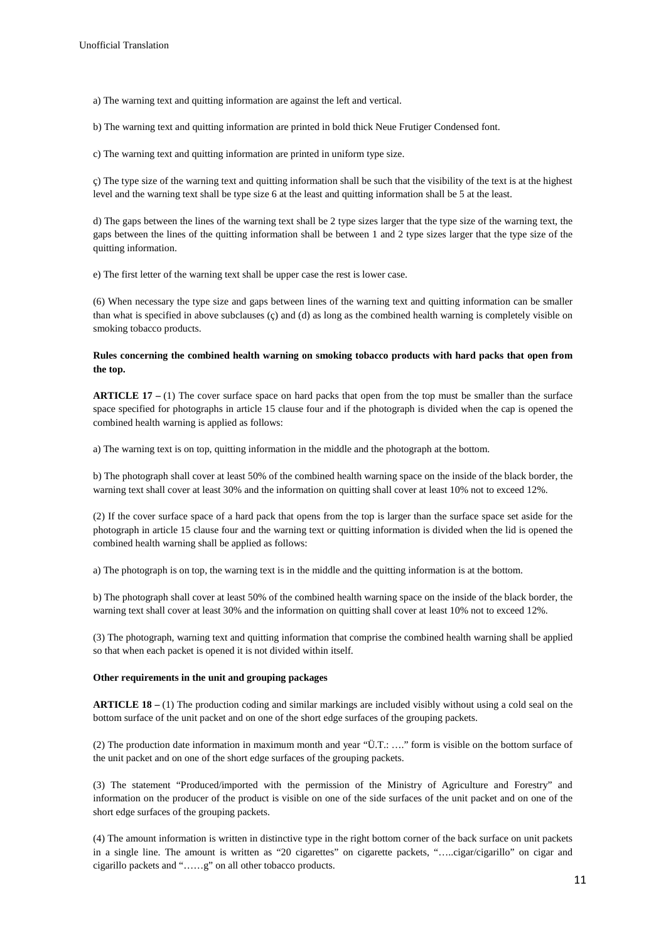a) The warning text and quitting information are against the left and vertical.

b) The warning text and quitting information are printed in bold thick Neue Frutiger Condensed font.

c) The warning text and quitting information are printed in uniform type size.

ç) The type size of the warning text and quitting information shall be such that the visibility of the text is at the highest level and the warning text shall be type size 6 at the least and quitting information shall be 5 at the least.

d) The gaps between the lines of the warning text shall be 2 type sizes larger that the type size of the warning text, the gaps between the lines of the quitting information shall be between 1 and 2 type sizes larger that the type size of the quitting information.

e) The first letter of the warning text shall be upper case the rest is lower case.

(6) When necessary the type size and gaps between lines of the warning text and quitting information can be smaller than what is specified in above subclauses (ç) and (d) as long as the combined health warning is completely visible on smoking tobacco products.

## **Rules concerning the combined health warning on smoking tobacco products with hard packs that open from the top.**

**ARTICLE 17 –** (1) The cover surface space on hard packs that open from the top must be smaller than the surface space specified for photographs in article 15 clause four and if the photograph is divided when the cap is opened the combined health warning is applied as follows:

a) The warning text is on top, quitting information in the middle and the photograph at the bottom.

b) The photograph shall cover at least 50% of the combined health warning space on the inside of the black border, the warning text shall cover at least 30% and the information on quitting shall cover at least 10% not to exceed 12%.

(2) If the cover surface space of a hard pack that opens from the top is larger than the surface space set aside for the photograph in article 15 clause four and the warning text or quitting information is divided when the lid is opened the combined health warning shall be applied as follows:

a) The photograph is on top, the warning text is in the middle and the quitting information is at the bottom.

b) The photograph shall cover at least 50% of the combined health warning space on the inside of the black border, the warning text shall cover at least 30% and the information on quitting shall cover at least 10% not to exceed 12%.

(3) The photograph, warning text and quitting information that comprise the combined health warning shall be applied so that when each packet is opened it is not divided within itself.

## **Other requirements in the unit and grouping packages**

**ARTICLE 18 –** (1) The production coding and similar markings are included visibly without using a cold seal on the bottom surface of the unit packet and on one of the short edge surfaces of the grouping packets.

(2) The production date information in maximum month and year "Ü.T.: …." form is visible on the bottom surface of the unit packet and on one of the short edge surfaces of the grouping packets.

(3) The statement "Produced/imported with the permission of the Ministry of Agriculture and Forestry" and information on the producer of the product is visible on one of the side surfaces of the unit packet and on one of the short edge surfaces of the grouping packets.

(4) The amount information is written in distinctive type in the right bottom corner of the back surface on unit packets in a single line. The amount is written as "20 cigarettes" on cigarette packets, "…..cigar/cigarillo" on cigar and cigarillo packets and "……g" on all other tobacco products.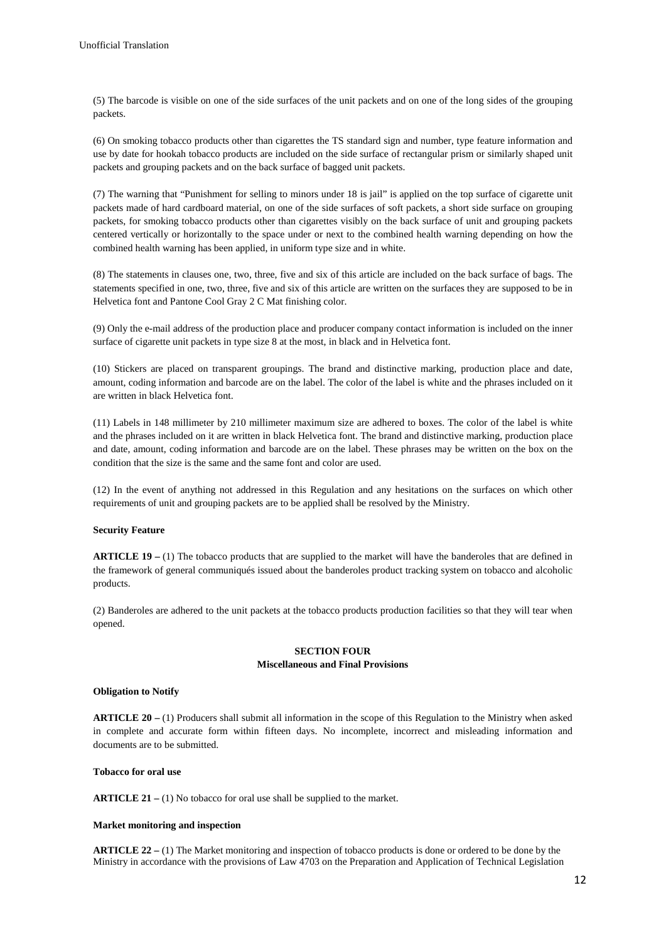(5) The barcode is visible on one of the side surfaces of the unit packets and on one of the long sides of the grouping packets.

(6) On smoking tobacco products other than cigarettes the TS standard sign and number, type feature information and use by date for hookah tobacco products are included on the side surface of rectangular prism or similarly shaped unit packets and grouping packets and on the back surface of bagged unit packets.

(7) The warning that "Punishment for selling to minors under 18 is jail" is applied on the top surface of cigarette unit packets made of hard cardboard material, on one of the side surfaces of soft packets, a short side surface on grouping packets, for smoking tobacco products other than cigarettes visibly on the back surface of unit and grouping packets centered vertically or horizontally to the space under or next to the combined health warning depending on how the combined health warning has been applied, in uniform type size and in white.

(8) The statements in clauses one, two, three, five and six of this article are included on the back surface of bags. The statements specified in one, two, three, five and six of this article are written on the surfaces they are supposed to be in Helvetica font and Pantone Cool Gray 2 C Mat finishing color.

(9) Only the e-mail address of the production place and producer company contact information is included on the inner surface of cigarette unit packets in type size 8 at the most, in black and in Helvetica font.

(10) Stickers are placed on transparent groupings. The brand and distinctive marking, production place and date, amount, coding information and barcode are on the label. The color of the label is white and the phrases included on it are written in black Helvetica font.

(11) Labels in 148 millimeter by 210 millimeter maximum size are adhered to boxes. The color of the label is white and the phrases included on it are written in black Helvetica font. The brand and distinctive marking, production place and date, amount, coding information and barcode are on the label. These phrases may be written on the box on the condition that the size is the same and the same font and color are used.

(12) In the event of anything not addressed in this Regulation and any hesitations on the surfaces on which other requirements of unit and grouping packets are to be applied shall be resolved by the Ministry.

## **Security Feature**

**ARTICLE 19 –** (1) The tobacco products that are supplied to the market will have the banderoles that are defined in the framework of general communiqués issued about the banderoles product tracking system on tobacco and alcoholic products.

(2) Banderoles are adhered to the unit packets at the tobacco products production facilities so that they will tear when opened.

## **SECTION FOUR Miscellaneous and Final Provisions**

## **Obligation to Notify**

**ARTICLE 20 –** (1) Producers shall submit all information in the scope of this Regulation to the Ministry when asked in complete and accurate form within fifteen days. No incomplete, incorrect and misleading information and documents are to be submitted.

## **Tobacco for oral use**

**ARTICLE 21 –** (1) No tobacco for oral use shall be supplied to the market.

## **Market monitoring and inspection**

**ARTICLE 22 –** (1) The Market monitoring and inspection of tobacco products is done or ordered to be done by the Ministry in accordance with the provisions of Law 4703 on the Preparation and Application of Technical Legislation